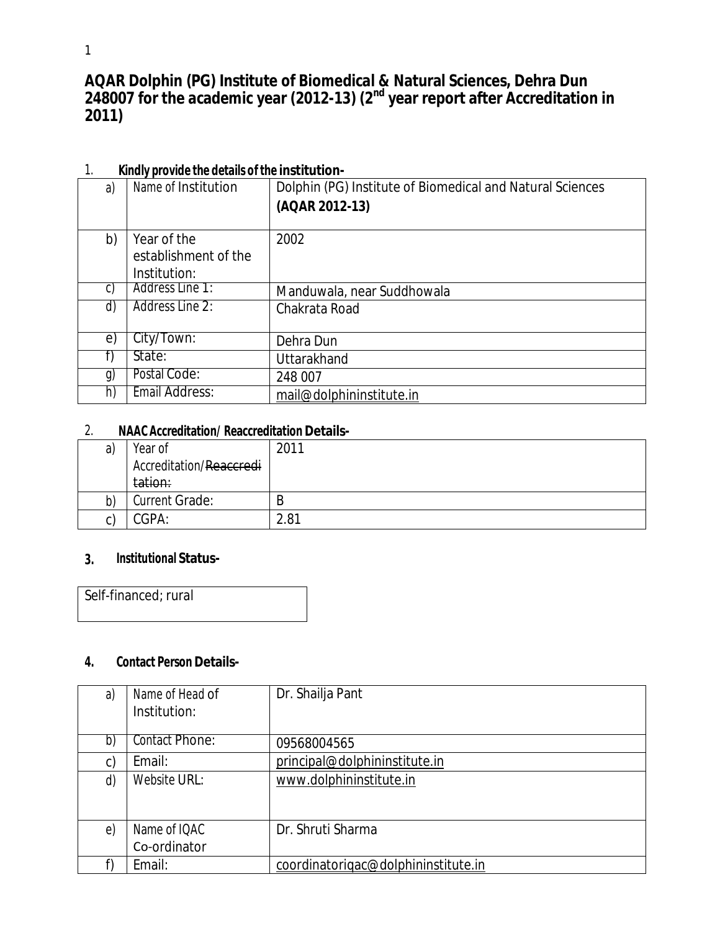**AQAR Dolphin (PG) Institute of Biomedical & Natural Sciences, Dehra Dun 248007 for the academic year (2012-13) (2 nd year report after Accreditation in 2011)**

| . .            | <b>NINIVE DIVING THE UCLAIN OF THE INSTITUTION</b> |                                                           |
|----------------|----------------------------------------------------|-----------------------------------------------------------|
| a)             | Name of Institution                                | Dolphin (PG) Institute of Biomedical and Natural Sciences |
|                |                                                    | (AQAR 2012-13)                                            |
|                |                                                    |                                                           |
| b)             | Year of the                                        | 2002                                                      |
|                | establishment of the                               |                                                           |
|                | Institution:                                       |                                                           |
| C)             | Address Line 1:                                    | Manduwala, near Suddhowala                                |
| d)             | Address Line 2:                                    | Chakrata Road                                             |
|                |                                                    |                                                           |
| e)             | City/Town:                                         | Dehra Dun                                                 |
|                | State:                                             | <b>Uttarakhand</b>                                        |
| $\mathfrak{g}$ | Postal Code:                                       | 248 007                                                   |
| h)             | Email Address:                                     | mail@dolphininstitute.in                                  |

## 1. **Kindly provide the details of the institution-**

#### 2. **NAAC Accreditation/ Reaccreditation Details-**

| a)      | Year of                 | 2011 |
|---------|-------------------------|------|
|         | Accreditation/Reaccredi |      |
|         | tation:                 |      |
| b)      | <b>Current Grade:</b>   | B    |
| ⌒<br>U) | CGPA:                   | 2.81 |

#### **3. Institutional Status-**

Self-financed; rural

#### **4. Contact Person Details-**

| a)       | Name of Head of<br>Institution: | Dr. Shailja Pant                    |
|----------|---------------------------------|-------------------------------------|
| b)       | Contact Phone:                  | 09568004565                         |
| C)       | Email:                          | principal@dolphininstitute.in       |
| d)       | Website URL:                    | www.dolphininstitute.in             |
|          |                                 |                                     |
| $\Theta$ | Name of IQAC                    | Dr. Shruti Sharma                   |
|          | Co-ordinator                    |                                     |
|          | Email:                          | coordinatorigac@dolphininstitute.in |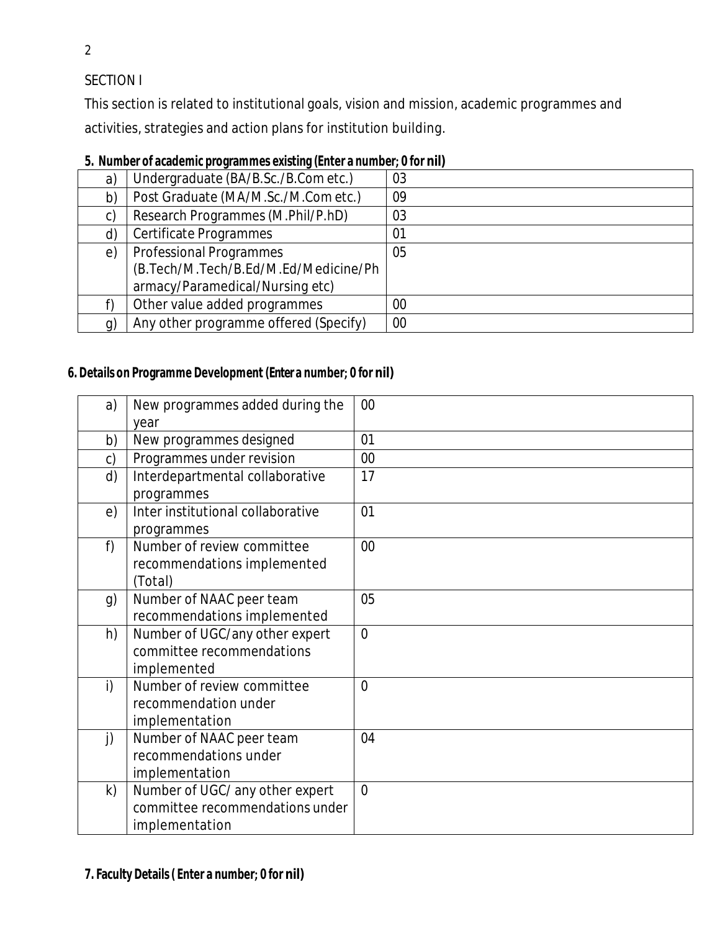SECTION I

This section is related to institutional goals, vision and mission, academic programmes and activities, strategies and action plans for institution building.

| a)         | Undergraduate (BA/B.Sc./B.Com etc.)   | 03 |
|------------|---------------------------------------|----|
| b)         | Post Graduate (MA/M.Sc./M.Com etc.)   | 09 |
| C)         | Research Programmes (M.Phil/P.hD)     | 03 |
| d)         | Certificate Programmes                | 01 |
| $\epsilon$ | <b>Professional Programmes</b>        | 05 |
|            | (B.Tech/M.Tech/B.Ed/M.Ed/Medicine/Ph  |    |
|            | armacy/Paramedical/Nursing etc)       |    |
|            | Other value added programmes          | 00 |
| g)         | Any other programme offered (Specify) | 00 |

# **5. Number of academic programmes existing (Enter a number; 0 for nil)**

### **6. Details on Programme Development (Enter a number; 0 for nil)**

| a) | New programmes added during the   | 00             |
|----|-----------------------------------|----------------|
|    | year                              |                |
| b) | New programmes designed           | 01             |
| c) | Programmes under revision         | 00             |
| d) | Interdepartmental collaborative   | 17             |
|    | programmes                        |                |
| e) | Inter institutional collaborative | 01             |
|    | programmes                        |                |
| f) | Number of review committee        | $00\,$         |
|    | recommendations implemented       |                |
|    | (Total)                           |                |
| g) | Number of NAAC peer team          | 05             |
|    | recommendations implemented       |                |
| h) | Number of UGC/any other expert    | $\overline{0}$ |
|    | committee recommendations         |                |
|    | implemented                       |                |
| i) | Number of review committee        | $\overline{0}$ |
|    | recommendation under              |                |
|    | implementation                    |                |
| j) | Number of NAAC peer team          | 04             |
|    | recommendations under             |                |
|    | implementation                    |                |
| k) | Number of UGC/ any other expert   | $\Omega$       |
|    | committee recommendations under   |                |
|    | implementation                    |                |

2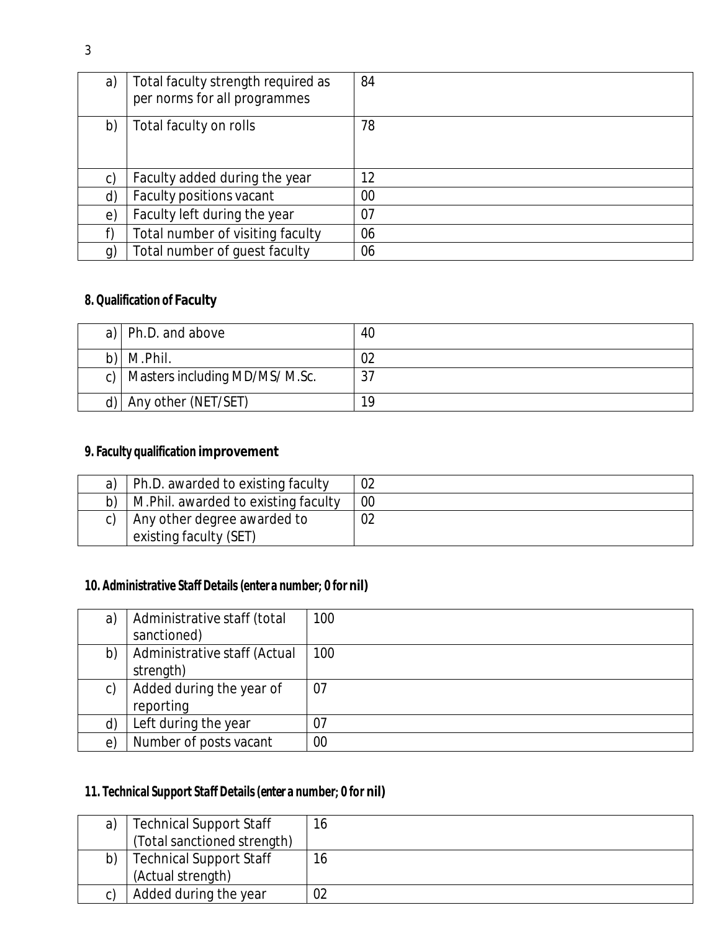| a)             | Total faculty strength required as<br>per norms for all programmes | 84 |
|----------------|--------------------------------------------------------------------|----|
| b)             | Total faculty on rolls                                             | 78 |
| c)             | Faculty added during the year                                      | 12 |
| $\mathsf{d}$   | Faculty positions vacant                                           | 00 |
| e)             | Faculty left during the year                                       | 07 |
| f)             | Total number of visiting faculty                                   | 06 |
| $\mathfrak{g}$ | Total number of guest faculty                                      | 06 |

# **8. Qualification of Faculty**

| a)   Ph.D. and above                | 40  |
|-------------------------------------|-----|
| $b)$ M.Phil.                        | 02  |
| c)   Masters including MD/MS/ M.Sc. | , ب |
| d) $ $ Any other (NET/SET)          | 19  |

# **9. Faculty qualification improvement**

| a) | Ph.D. awarded to existing faculty                     | 02 |
|----|-------------------------------------------------------|----|
|    | M. Phil. awarded to existing faculty                  | 00 |
|    | Any other degree awarded to<br>existing faculty (SET) |    |

# **10. Administrative Staff Details (enter a number; 0 for nil)**

| a)         | Administrative staff (total<br>sanctioned) | 100 |
|------------|--------------------------------------------|-----|
| b)         | Administrative staff (Actual<br>strength)  | 100 |
| C)         | Added during the year of<br>reporting      | 07  |
| d)         | Left during the year                       | 07  |
| $\epsilon$ | Number of posts vacant                     | 00  |

# **11. Technical Support Staff Details(enter a number; 0 for nil)**

| a) | <b>Technical Support Staff</b> | 16 |
|----|--------------------------------|----|
|    | (Total sanctioned strength)    |    |
| b) | <b>Technical Support Staff</b> | 16 |
|    | (Actual strength)              |    |
|    | Added during the year          |    |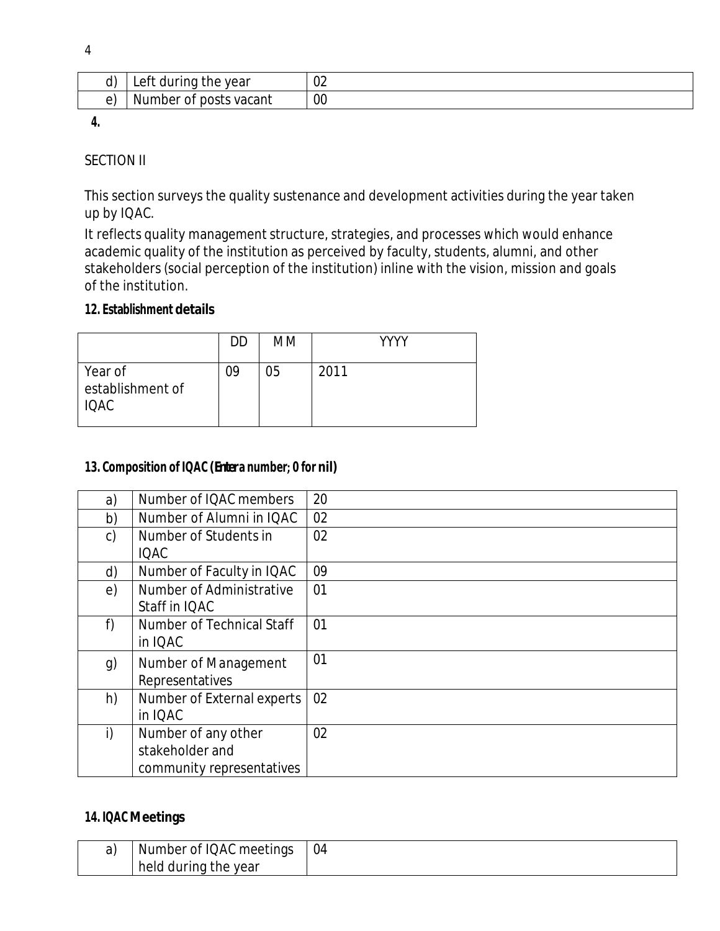| ш<br>÷ |  |
|--------|--|

| .,<br>J۱ | -eft<br>during<br>vear<br>'ne<br>uu | $\sim$<br>◡∠ |
|----------|-------------------------------------|--------------|
|          | vacant<br>Number<br>posts<br>ΟĪ     | 00           |

**4.**

## SECTION II

This section surveys the quality sustenance and development activities during the year taken up by IQAC.

It reflects quality management structure, strategies, and processes which would enhance academic quality of the institution as perceived by faculty, students, alumni, and other stakeholders (social perception of the institution) inline with the vision, mission and goals of the institution.

### **12. Establishment details**

|                                            | DD | MM | YYYY |
|--------------------------------------------|----|----|------|
| Year of<br>establishment of<br><b>IQAC</b> | 09 | 05 | 2011 |

### **13. Composition of IQAC (Entera number; 0 for nil)**

| a)            | Number of IQAC members                                              | 20 |
|---------------|---------------------------------------------------------------------|----|
| b)            | Number of Alumni in IQAC                                            | 02 |
| $\mathsf{c})$ | Number of Students in<br><b>IQAC</b>                                | 02 |
| d)            | Number of Faculty in IQAC                                           | 09 |
| e)            | Number of Administrative<br>Staff in IQAC                           | 01 |
| f)            | Number of Technical Staff<br>in IQAC                                | 01 |
| g)            | Number of Management<br>Representatives                             | 01 |
| h)            | Number of External experts<br>in IQAC                               | 02 |
| $\mathsf{i}$  | Number of any other<br>stakeholder and<br>community representatives | 02 |

#### **14. IQAC Meetings**

| Number of IQAC meetings         | 04 |
|---------------------------------|----|
| during<br>year<br>held<br>. the |    |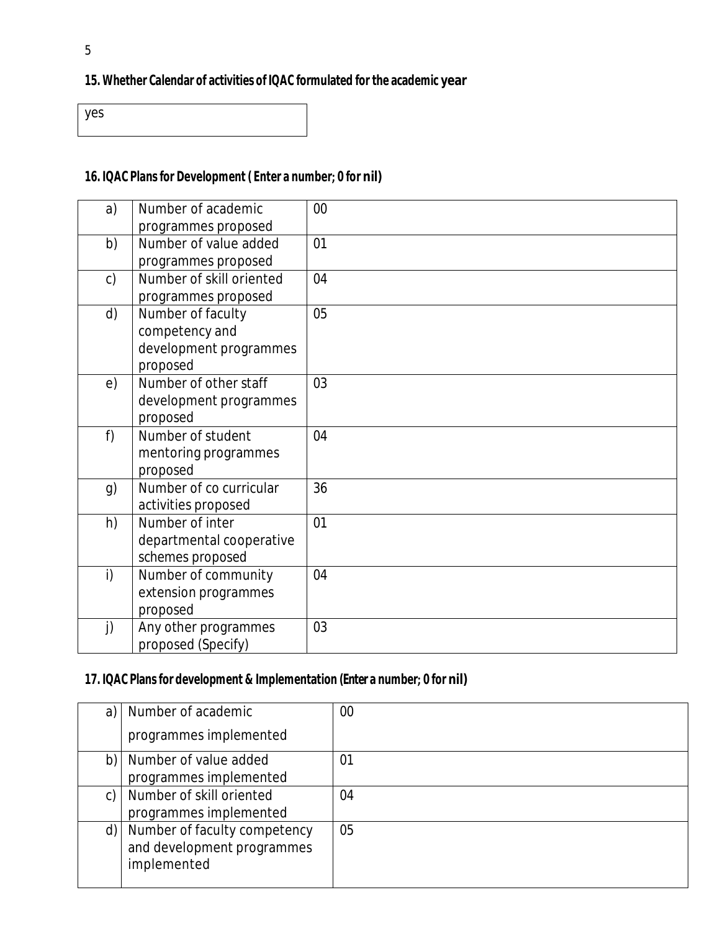# **15. Whether Calendar of activities of IQAC formulated for the academic year**

yes

## **16. IQAC Plans for Development ( Enter a number; 0 for nil)**

| a)            | Number of academic       | $00\,$ |
|---------------|--------------------------|--------|
|               | programmes proposed      |        |
| b)            | Number of value added    | 01     |
|               | programmes proposed      |        |
| $\mathsf{c})$ | Number of skill oriented | 04     |
|               | programmes proposed      |        |
| d)            | Number of faculty        | 05     |
|               | competency and           |        |
|               | development programmes   |        |
|               | proposed                 |        |
| e)            | Number of other staff    | 03     |
|               | development programmes   |        |
|               | proposed                 |        |
| f)            | Number of student        | 04     |
|               | mentoring programmes     |        |
|               | proposed                 |        |
| g)            | Number of co curricular  | 36     |
|               | activities proposed      |        |
| h)            | Number of inter          | 01     |
|               | departmental cooperative |        |
|               | schemes proposed         |        |
| i)            | Number of community      | 04     |
|               | extension programmes     |        |
|               | proposed                 |        |
| $\mathbf{j}$  | Any other programmes     | 03     |
|               | proposed (Specify)       |        |

### **17. IQAC Plans for development & Implementation (Enter a number; 0 for nil)**

| a) | Number of academic                                                        | 00             |
|----|---------------------------------------------------------------------------|----------------|
|    | programmes implemented                                                    |                |
| b) | Number of value added<br>programmes implemented                           | 0 <sup>1</sup> |
| C) | Number of skill oriented<br>programmes implemented                        | 04             |
| d) | Number of faculty competency<br>and development programmes<br>implemented | 05             |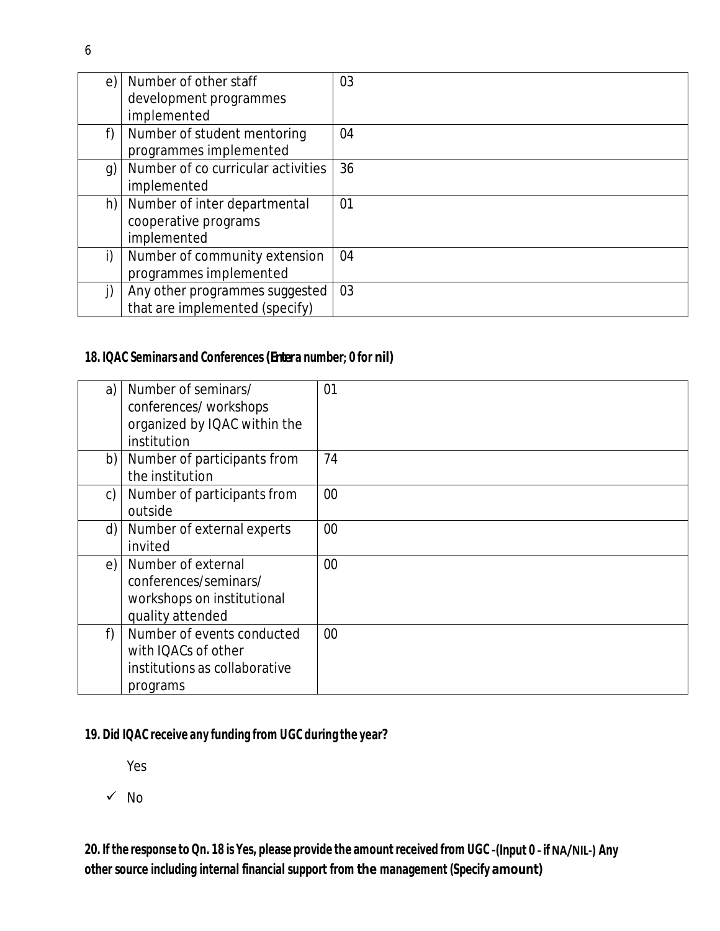| e) | Number of other staff<br>development programmes | 03 |
|----|-------------------------------------------------|----|
|    | implemented                                     |    |
| f) | Number of student mentoring                     | 04 |
|    | programmes implemented                          |    |
| g) | Number of co curricular activities              | 36 |
|    | implemented                                     |    |
| h) | Number of inter departmental                    | 01 |
|    | cooperative programs                            |    |
|    | implemented                                     |    |
| i) | Number of community extension                   | 04 |
|    | programmes implemented                          |    |
| j) | Any other programmes suggested                  | 03 |
|    | that are implemented (specify)                  |    |

### **18. IQAC Seminars and Conferences(Entera number; 0 for nil)**

| a) | Number of seminars/           | 01 |
|----|-------------------------------|----|
|    | conferences/workshops         |    |
|    | organized by IQAC within the  |    |
|    | institution                   |    |
| b) | Number of participants from   | 74 |
|    | the institution               |    |
| C) | Number of participants from   | 00 |
|    | outside                       |    |
| d) | Number of external experts    | 00 |
|    | invited                       |    |
| e) | Number of external            | 00 |
|    | conferences/seminars/         |    |
|    | workshops on institutional    |    |
|    | quality attended              |    |
| f  | Number of events conducted    | 00 |
|    | with IQACs of other           |    |
|    | institutions as collaborative |    |
|    | programs                      |    |

## **19. Did IQAC receive any funding from UGC during the year?**

Yes

 $\checkmark$  No

20. If the response to Qn. 18 is Yes, please provide the amount received from UGC -(Input 0 - if NA/NIL-) Any **other source including internal financial support from the management (Specify amount)**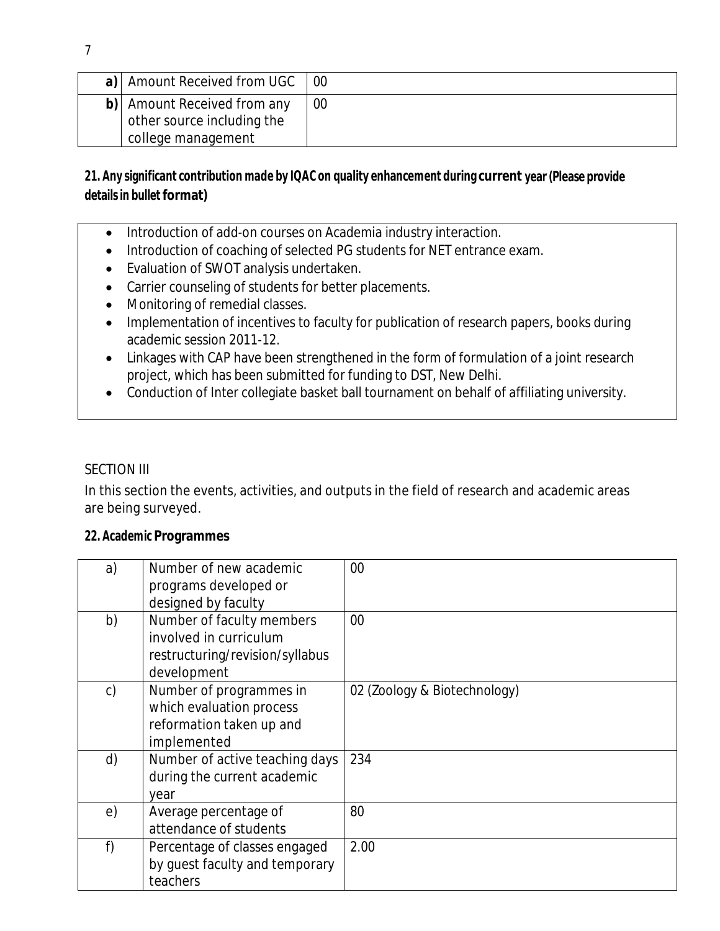| a)   Amount Received from UGC                                                   | 00 |
|---------------------------------------------------------------------------------|----|
| b) Amount Received from any<br>other source including the<br>college management | 00 |

## **21. Any significant contribution made by IQAC on quality enhancement during current year (Please provide detailsin bullet format)**

- Introduction of add-on courses on Academia industry interaction.
- Introduction of coaching of selected PG students for NET entrance exam.
- Evaluation of SWOT analysis undertaken.
- Carrier counseling of students for better placements.
- Monitoring of remedial classes.
- Implementation of incentives to faculty for publication of research papers, books during academic session 2011-12.
- Linkages with CAP have been strengthened in the form of formulation of a joint research project, which has been submitted for funding to DST, New Delhi.
- Conduction of Inter collegiate basket ball tournament on behalf of affiliating university.

#### SECTION III

In this section the events, activities, and outputs in the field of research and academic areas are being surveyed.

#### **22. Academic Programmes**

| a) | Number of new academic<br>programs developed or<br>designed by faculty                                | 00                           |
|----|-------------------------------------------------------------------------------------------------------|------------------------------|
| b) | Number of faculty members<br>involved in curriculum<br>restructuring/revision/syllabus<br>development | 00                           |
| c) | Number of programmes in<br>which evaluation process<br>reformation taken up and<br>implemented        | 02 (Zoology & Biotechnology) |
| d) | Number of active teaching days<br>during the current academic<br>year                                 | 234                          |
| e) | Average percentage of<br>attendance of students                                                       | 80                           |
| f) | Percentage of classes engaged<br>by guest faculty and temporary<br>teachers                           | 2.00                         |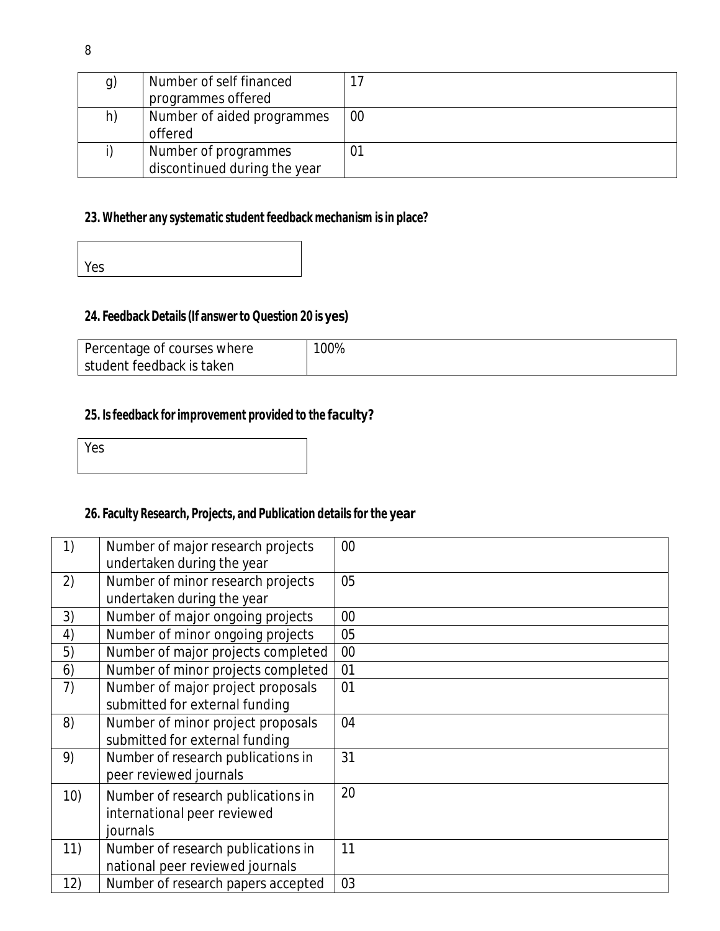| g) | Number of self financed      |    |
|----|------------------------------|----|
|    | programmes offered           |    |
| h) | Number of aided programmes   | 00 |
|    | offered                      |    |
|    | Number of programmes         |    |
|    | discontinued during the year |    |

# **23. Whether any systematic student feedback mechanism isin place?**

| Yes |  |  |  |
|-----|--|--|--|
|     |  |  |  |

## **24. Feedback Details(If answer to Question 20 is yes)**

| Percentage of courses where | 00% |
|-----------------------------|-----|
| student feedback is taken   |     |

### **25. Isfeedback for improvement provided to the faculty?**

| Ι<br>Yes |  |  |  |
|----------|--|--|--|
|          |  |  |  |

# **26. Faculty Research, Projects, and Publication details for the year**

| 1)  | Number of major research projects  | 00 |
|-----|------------------------------------|----|
|     | undertaken during the year         |    |
| 2)  | Number of minor research projects  | 05 |
|     | undertaken during the year         |    |
| 3)  | Number of major ongoing projects   | 00 |
| 4)  | Number of minor ongoing projects   | 05 |
| 5)  | Number of major projects completed | 00 |
| 6)  | Number of minor projects completed | 01 |
| 7)  | Number of major project proposals  | 01 |
|     | submitted for external funding     |    |
| 8)  | Number of minor project proposals  | 04 |
|     | submitted for external funding     |    |
| 9)  | Number of research publications in | 31 |
|     | peer reviewed journals             |    |
| 10) | Number of research publications in | 20 |
|     | international peer reviewed        |    |
|     | journals                           |    |
| 11) | Number of research publications in | 11 |
|     | national peer reviewed journals    |    |
| 12) | Number of research papers accepted | 03 |
|     |                                    |    |

 $\overline{\Gamma}$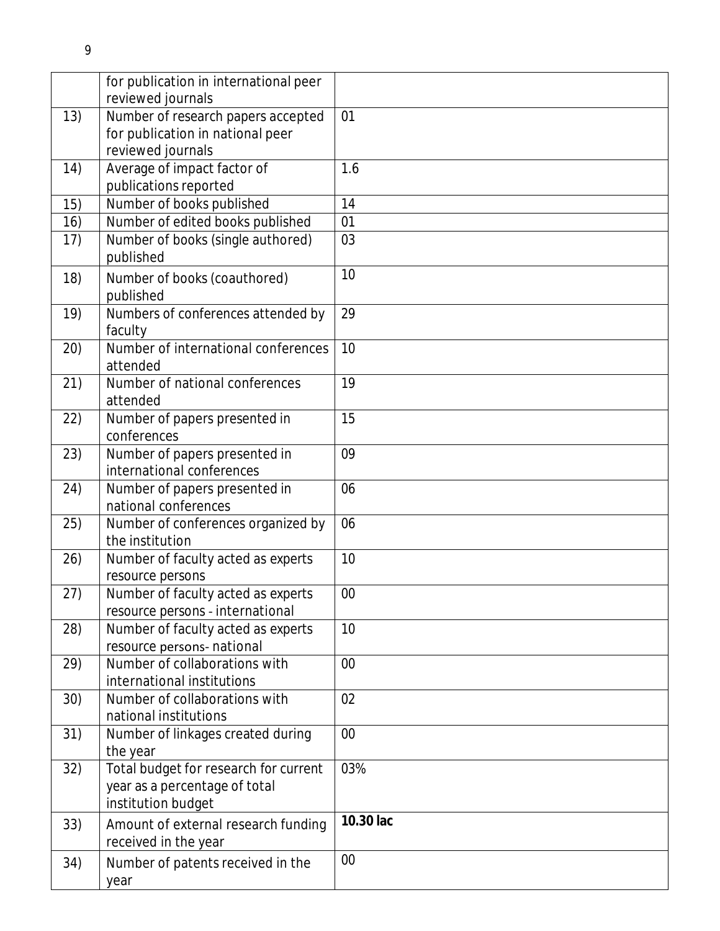|      | for publication in international peer                 |           |
|------|-------------------------------------------------------|-----------|
|      | reviewed journals                                     |           |
| 13)  | Number of research papers accepted                    | 01        |
|      | for publication in national peer<br>reviewed journals |           |
|      |                                                       | 1.6       |
| 14)  | Average of impact factor of                           |           |
|      | publications reported                                 | 14        |
| 15)  | Number of books published                             |           |
| 16)  | Number of edited books published                      | 01        |
| 17)  | Number of books (single authored)                     | 03        |
|      | published                                             |           |
| 18)  | Number of books (coauthored)                          | 10        |
|      | published                                             |           |
| 19)  | Numbers of conferences attended by                    | 29        |
|      | faculty                                               |           |
| (20) | Number of international conferences                   | 10        |
|      | attended                                              |           |
| 21)  | Number of national conferences                        | 19        |
|      | attended                                              |           |
| 22)  | Number of papers presented in                         | 15        |
|      | conferences                                           |           |
| 23)  | Number of papers presented in                         | 09        |
|      | international conferences                             |           |
| 24)  | Number of papers presented in                         | 06        |
|      | national conferences                                  |           |
| 25)  | Number of conferences organized by                    | 06        |
|      | the institution                                       |           |
| 26)  | Number of faculty acted as experts                    | 10        |
|      | resource persons                                      |           |
| 27)  | Number of faculty acted as experts                    | $00\,$    |
|      | resource persons - international                      |           |
| 28)  | Number of faculty acted as experts                    | 10        |
|      | resource persons- national                            |           |
| 29)  | Number of collaborations with                         | 00        |
|      | international institutions                            |           |
| 30)  | Number of collaborations with                         | 02        |
|      | national institutions                                 |           |
| 31)  | Number of linkages created during                     | $00\,$    |
|      | the year                                              |           |
| 32)  | Total budget for research for current                 | 03%       |
|      | year as a percentage of total                         |           |
|      | institution budget                                    |           |
| 33)  | Amount of external research funding                   | 10.30 lac |
|      | received in the year                                  |           |
| 34)  | Number of patents received in the                     | 00        |
|      |                                                       |           |
|      | year                                                  |           |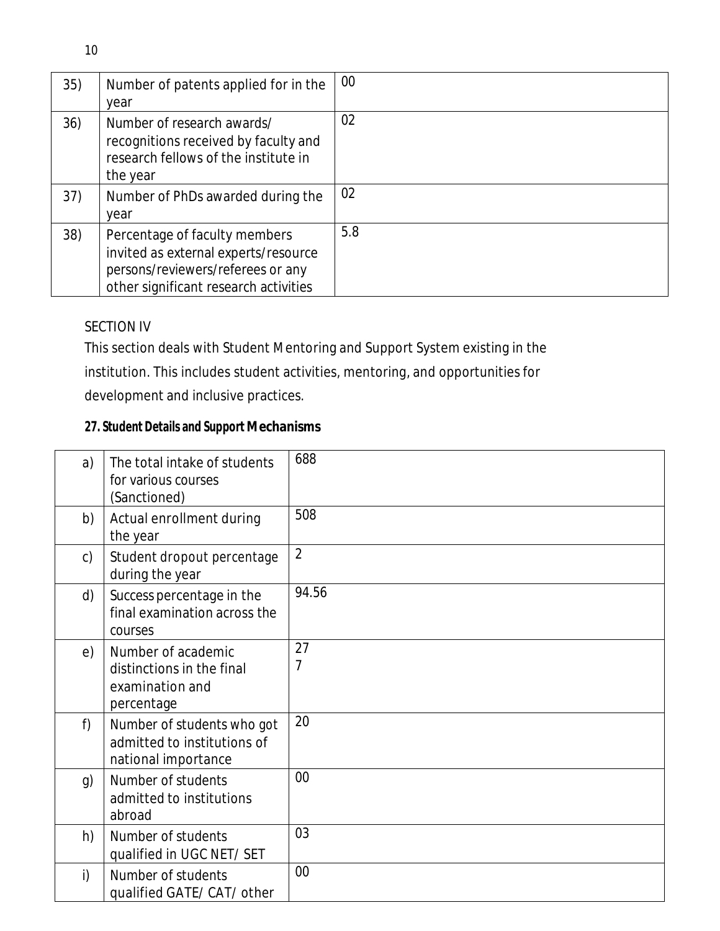| 35) | Number of patents applied for in the<br>year                                                                                                        | $00\,$ |
|-----|-----------------------------------------------------------------------------------------------------------------------------------------------------|--------|
| 36) | Number of research awards/<br>recognitions received by faculty and<br>research fellows of the institute in<br>the year                              | 02     |
| 37) | Number of PhDs awarded during the<br>year                                                                                                           | 02     |
| 38) | Percentage of faculty members<br>invited as external experts/resource<br>persons/reviewers/referees or any<br>other significant research activities | 5.8    |

# SECTION IV

This section deals with Student Mentoring and Support System existing in the

institution. This includes student activities, mentoring, and opportunities for

development and inclusive practices.

# **27. Student Details and Support Mechanisms**

| a)           | The total intake of students<br>for various courses<br>(Sanctioned)              | 688            |
|--------------|----------------------------------------------------------------------------------|----------------|
| b)           | Actual enrollment during<br>the year                                             | 508            |
| $\mathsf{C}$ | Student dropout percentage<br>during the year                                    | $\overline{2}$ |
| d)           | Success percentage in the<br>final examination across the<br>courses             | 94.56          |
| e)           | Number of academic<br>distinctions in the final<br>examination and<br>percentage | 27<br>7        |
| f)           | Number of students who got<br>admitted to institutions of<br>national importance | 20             |
| g)           | Number of students<br>admitted to institutions<br>abroad                         | 00             |
| h)           | Number of students<br>qualified in UGC NET/ SET                                  | 03             |
| i)           | Number of students<br>qualified GATE/ CAT/ other                                 | $00\,$         |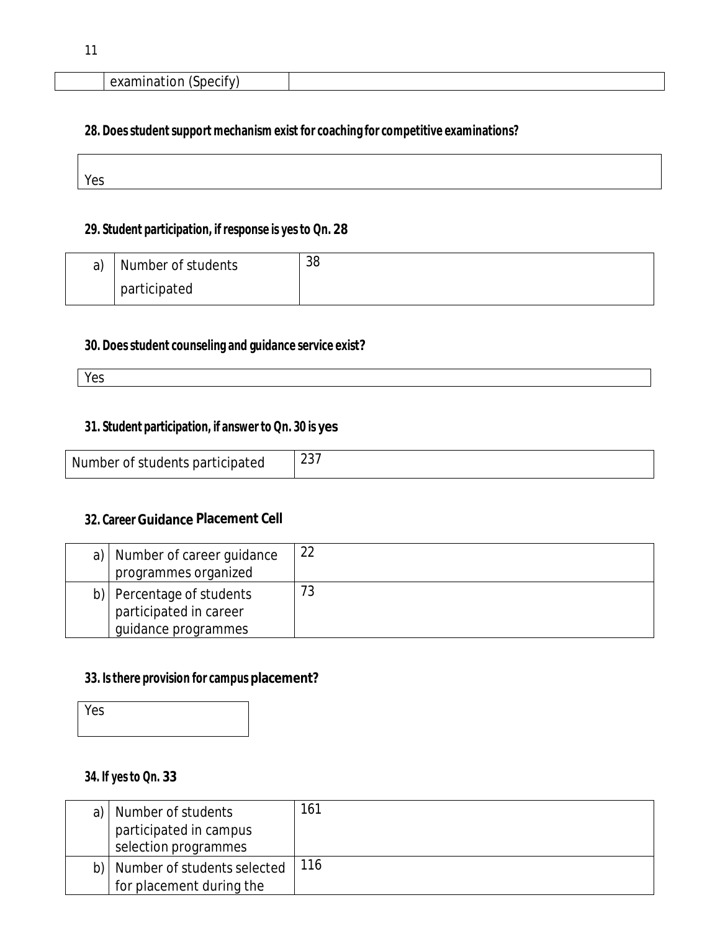### **28. Doesstudentsupport mechanism exist for coaching for competitive examinations?**

| $\overline{\phantom{0}}$ |  |  |
|--------------------------|--|--|

### **29. Student participation, ifresponse is yesto Qn. 28**

| a) | Number of students | 38 |
|----|--------------------|----|
|    | participated       |    |

## **30. Doesstudent counseling and guidance service exist?**

Yes

#### **31. Student participation, if answer to Qn. 30 is yes**

| Number of students participated |  |
|---------------------------------|--|
|---------------------------------|--|

### **32. Career Guidance Placement Cell**

| a) | Number of career guidance<br>programmes organized                       | 22 |
|----|-------------------------------------------------------------------------|----|
| b) | Percentage of students<br>participated in career<br>guidance programmes | 73 |

#### **33. Isthere provision for campus placement?**

Yes

### **34. If yesto Qn. 33**

| a)   Number of students<br>participated in campus<br>selection programmes | 161 |
|---------------------------------------------------------------------------|-----|
| b)   Number of students selected<br>for placement during the              | 116 |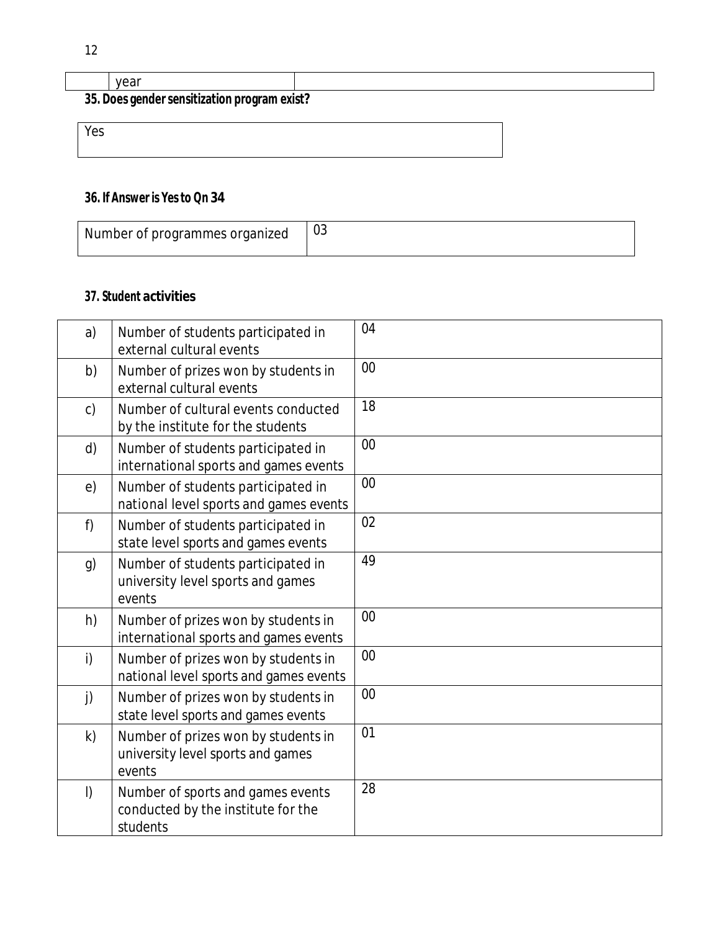| vear                                         |  |  |
|----------------------------------------------|--|--|
| 35. Does gender sensitization program exist? |  |  |
| Yes                                          |  |  |

## **36. If Answer is Yesto Qn 34**

| Number of programmes organized | U3 |
|--------------------------------|----|
|--------------------------------|----|

## **37. Student activities**

| a)      | Number of students participated in<br>external cultural events                      | 04 |
|---------|-------------------------------------------------------------------------------------|----|
| b)      | Number of prizes won by students in<br>external cultural events                     | 00 |
| c)      | Number of cultural events conducted<br>by the institute for the students            | 18 |
| d)      | Number of students participated in<br>international sports and games events         | 00 |
| e)      | Number of students participated in<br>national level sports and games events        | 00 |
| f)      | Number of students participated in<br>state level sports and games events           | 02 |
| g)      | Number of students participated in<br>university level sports and games<br>events   | 49 |
| h)      | Number of prizes won by students in<br>international sports and games events        | 00 |
| i)      | Number of prizes won by students in<br>national level sports and games events       | 00 |
| j)      | Number of prizes won by students in<br>state level sports and games events          | 00 |
| k)      | Number of prizes won by students in<br>university level sports and games<br>events  | 01 |
| $\vert$ | Number of sports and games events<br>conducted by the institute for the<br>students | 28 |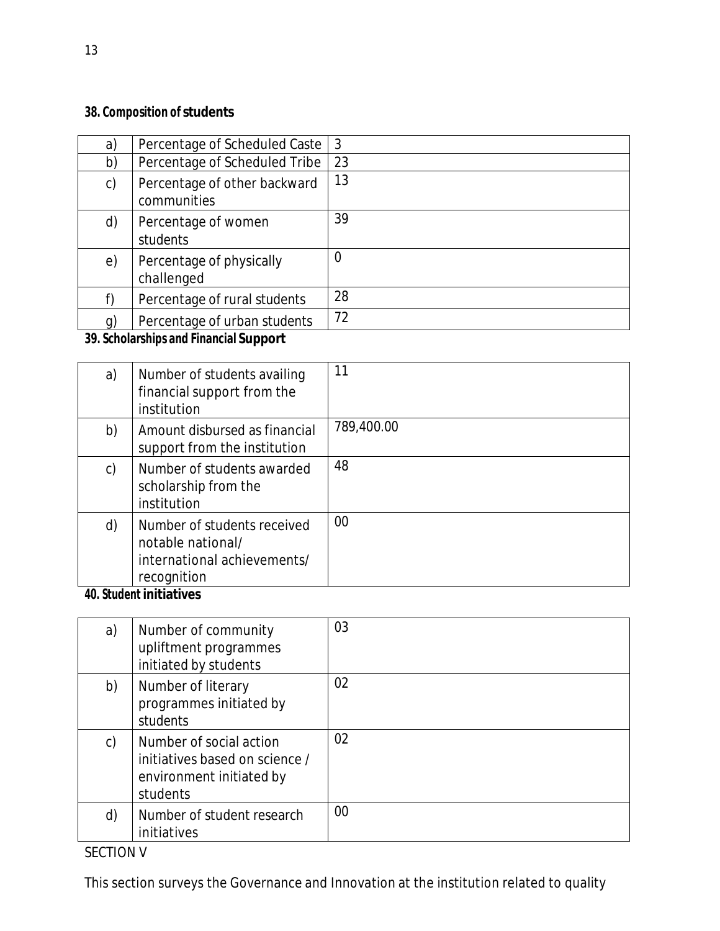# **38. Composition of students**

| a)             | Percentage of Scheduled Caste                      | 3              |
|----------------|----------------------------------------------------|----------------|
| b)             | Percentage of Scheduled Tribe                      | 23             |
| $\mathsf{C}$   | Percentage of other backward<br>communities        | 13             |
| d)             | Percentage of women<br>students                    | 39             |
| e)             | Percentage of physically<br>challenged             | $\overline{0}$ |
| f)             | Percentage of rural students                       | 28             |
| $\mathfrak{g}$ | Percentage of urban students                       | 72             |
| 20.01          | بالمجاور ومحمودها المالح ومحافظا المحمد والمطالعين |                |

### **39. Scholarships and Financial Support**

| a) | Number of students availing<br>financial support from the<br>institution                                             | 11         |
|----|----------------------------------------------------------------------------------------------------------------------|------------|
| b) | Amount disbursed as financial<br>support from the institution                                                        | 789,400.00 |
| C) | Number of students awarded<br>scholarship from the<br>institution                                                    | 48         |
| d) | Number of students received<br>notable national/<br>international achievements/<br>recognition<br>$10.01$ and $1.11$ | 00         |

#### **40. Student initiatives**

| a) | Number of community<br>upliftment programmes<br>initiated by students                             | 03     |
|----|---------------------------------------------------------------------------------------------------|--------|
| b) | Number of literary<br>programmes initiated by<br>students                                         | 02     |
| C) | Number of social action<br>initiatives based on science /<br>environment initiated by<br>students | 02     |
| d) | Number of student research<br>initiatives                                                         | $00\,$ |

This section surveys the Governance and Innovation at the institution related to quality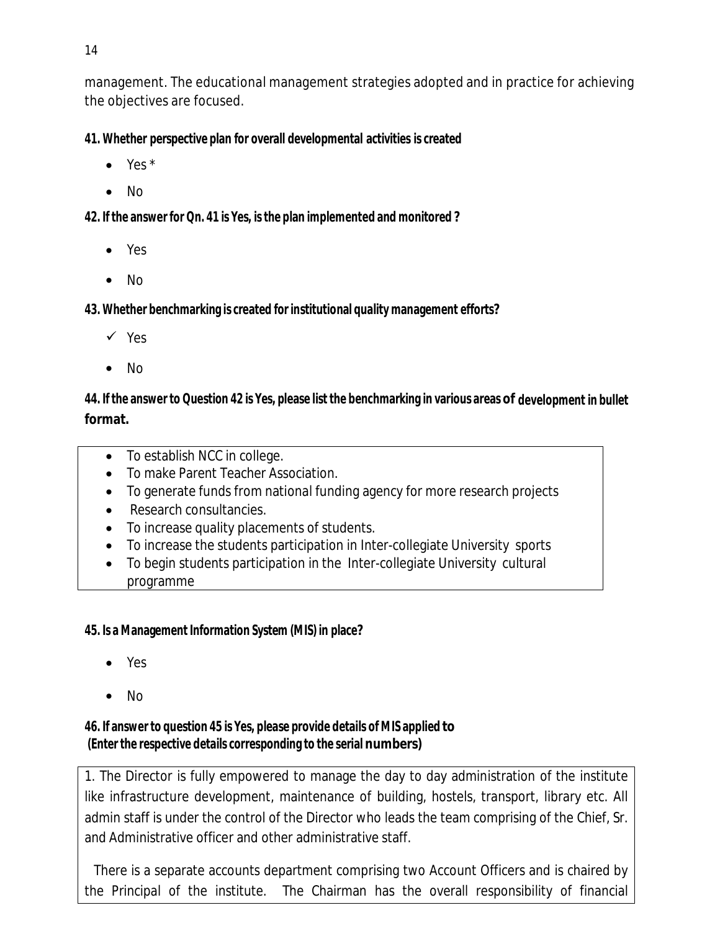management. The educational management strategies adopted and in practice for achieving the objectives are focused.

**41. Whether perspective plan for overall developmental activities is created**

- $\bullet$  Yes  $*$
- No

**42. If the answer for Qn. 41 is Yes, isthe plan implemented and monitored ?**

- Yes
- $\bullet$  No

**43. Whether benchmarking is created for institutional quality management efforts?**

- $\checkmark$  Yes
- No

44. If the answer to Question 42 is Yes, please list the benchmarking in various areas of development in bullet **format.**

- To establish NCC in college.
- To make Parent Teacher Association.
- To generate funds from national funding agency for more research projects
- Research consultancies.
- To increase quality placements of students.
- To increase the students participation in Inter-collegiate University sports
- To begin students participation in the Inter-collegiate University cultural programme

### **45. Is a Management Information System (MIS) in place?**

- Yes
- No

## **46. If answer to question 45 is Yes, please provide details of MIS applied to (Enter the respective details corresponding to the serial numbers)**

1. The Director is fully empowered to manage the day to day administration of the institute like infrastructure development, maintenance of building, hostels, transport, library etc. All admin staff is under the control of the Director who leads the team comprising of the Chief, Sr. and Administrative officer and other administrative staff.

 There is a separate accounts department comprising two Account Officers and is chaired by the Principal of the institute. The Chairman has the overall responsibility of financial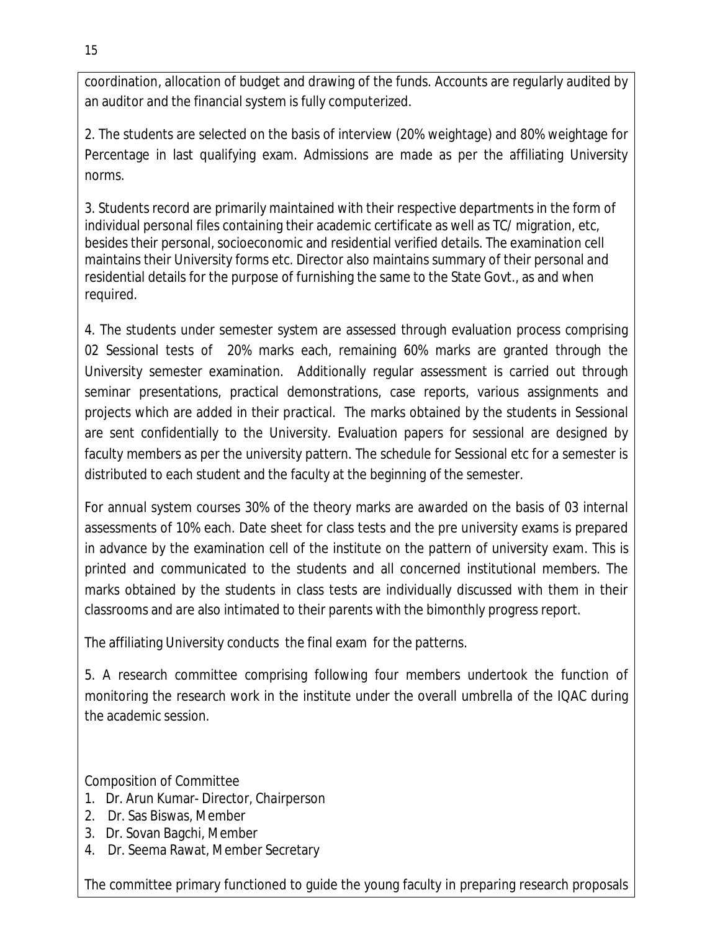coordination, allocation of budget and drawing of the funds. Accounts are regularly audited by an auditor and the financial system is fully computerized.

2. The students are selected on the basis of interview (20% weightage) and 80% weightage for Percentage in last qualifying exam. Admissions are made as per the affiliating University norms.

3. Students record are primarily maintained with their respective departments in the form of individual personal files containing their academic certificate as well as TC/ migration, etc, besides their personal, socioeconomic and residential verified details. The examination cell maintains their University forms etc. Director also maintains summary of their personal and residential details for the purpose of furnishing the same to the State Govt., as and when required.

4. The students under semester system are assessed through evaluation process comprising 02 Sessional tests of 20% marks each, remaining 60% marks are granted through the University semester examination. Additionally regular assessment is carried out through seminar presentations, practical demonstrations, case reports, various assignments and projects which are added in their practical. The marks obtained by the students in Sessional are sent confidentially to the University. Evaluation papers for sessional are designed by faculty members as per the university pattern. The schedule for Sessional etc for a semester is distributed to each student and the faculty at the beginning of the semester.

For annual system courses 30% of the theory marks are awarded on the basis of 03 internal assessments of 10% each. Date sheet for class tests and the pre university exams is prepared in advance by the examination cell of the institute on the pattern of university exam. This is printed and communicated to the students and all concerned institutional members. The marks obtained by the students in class tests are individually discussed with them in their classrooms and are also intimated to their parents with the bimonthly progress report.

The affiliating University conducts the final exam for the patterns.

5. A research committee comprising following four members undertook the function of monitoring the research work in the institute under the overall umbrella of the IQAC during the academic session.

Composition of Committee

- 1. Dr. Arun Kumar- Director, Chairperson
- 2. Dr. Sas Biswas, Member
- 3. Dr. Sovan Bagchi, Member
- 4. Dr. Seema Rawat, Member Secretary

The committee primary functioned to guide the young faculty in preparing research proposals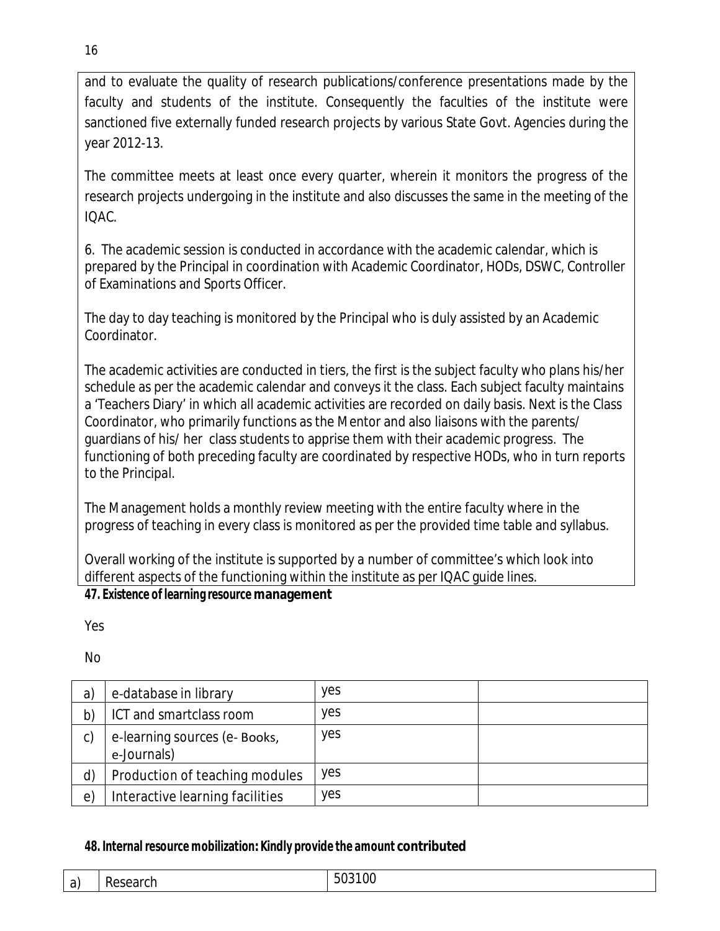and to evaluate the quality of research publications/conference presentations made by the faculty and students of the institute. Consequently the faculties of the institute were sanctioned five externally funded research projects by various State Govt. Agencies during the year 2012-13.

The committee meets at least once every quarter, wherein it monitors the progress of the research projects undergoing in the institute and also discusses the same in the meeting of the IQAC.

6. The academic session is conducted in accordance with the academic calendar, which is prepared by the Principal in coordination with Academic Coordinator, HODs, DSWC, Controller of Examinations and Sports Officer.

The day to day teaching is monitored by the Principal who is duly assisted by an Academic Coordinator.

The academic activities are conducted in tiers, the first is the subject faculty who plans his/her schedule as per the academic calendar and conveys it the class. Each subject faculty maintains a 'Teachers Diary' in which all academic activities are recorded on daily basis. Next is the Class Coordinator, who primarily functions as the Mentor and also liaisons with the parents/ guardians of his/ her class students to apprise them with their academic progress. The functioning of both preceding faculty are coordinated by respective HODs, who in turn reports to the Principal.

The Management holds a monthly review meeting with the entire faculty where in the progress of teaching in every class is monitored as per the provided time table and syllabus.

Overall working of the institute is supported by a number of committee's which look into different aspects of the functioning within the institute as per IQAC guide lines.

### **47. Existence of learning resource management**

Yes

No

| a)         | e-database in library                        | yes        |  |
|------------|----------------------------------------------|------------|--|
| b)         | ICT and smartclass room                      | yes        |  |
| c)         | e-learning sources (e- Books,<br>e-Journals) | <b>ves</b> |  |
| d)         | Production of teaching modules               | <b>ves</b> |  |
| $\epsilon$ | Interactive learning facilities              | yes        |  |

# **48. Internal resource mobilization:Kindly provide the amount contributed**

| ົດ ໂ<br>-di | -<br>- - - -<br>. .<br>п.<br>ווזא<br>יו טי<br>$ -$ | $\overline{\Omega}$<br>$\mathcal{L}$<br>vu<br>--- - - - |
|-------------|----------------------------------------------------|---------------------------------------------------------|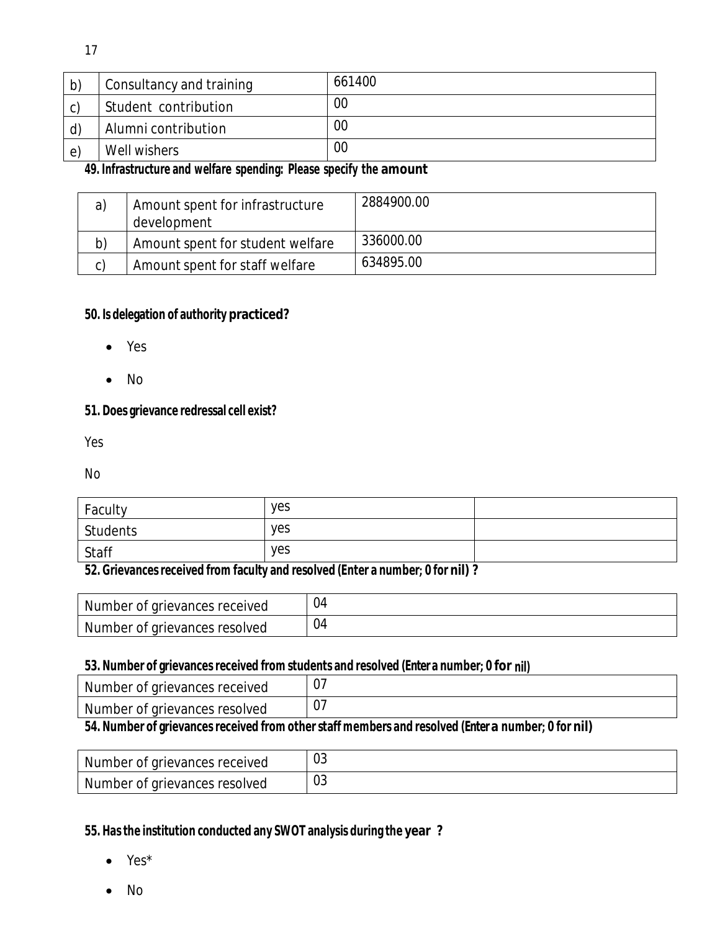| b)            | Consultancy and training | 661400 |
|---------------|--------------------------|--------|
| $\mathcal{C}$ | Student contribution     | 00     |
| $\mathsf{d}$  | Alumni contribution      | 00     |
| $\epsilon$    | Well wishers             | 00     |

### **49. Infrastructure and welfare spending: Please specify the amount**

| a) | Amount spent for infrastructure<br>development | 2884900.00 |
|----|------------------------------------------------|------------|
| b) | Amount spent for student welfare               | 336000.00  |
| C) | Amount spent for staff welfare                 | 634895.00  |

### **50. Is delegation of authority practiced?**

- Yes
- $\bullet$  No

### **51. Does grievance redressal cell exist?**

Yes

No

| Faculty  | yes |  |
|----------|-----|--|
| Students | yes |  |
| Staff    | yes |  |

### **52. Grievancesreceived from faculty and resolved (Enter a number; 0 for nil) ?**

| Number of grievances received | 04 |
|-------------------------------|----|
| Number of grievances resolved | 04 |

#### **53. Number of grievancesreceived from students and resolved (Enter a number; 0 for nil)**

| Number of grievances received                                                                                                                                                                         |  |
|-------------------------------------------------------------------------------------------------------------------------------------------------------------------------------------------------------|--|
| Number of grievances resolved                                                                                                                                                                         |  |
| $\mathbf{A}$ (Fig. ), and $\mathbf{A}$ (Fig. ), and $\mathbf{A}$ (Fig. ), and (Fig.<br>. Mai 1941 - Serbia de la final de la conceleza de la final de la final de la final de la conceleza de la conf |  |

# **54. Number of grievancesreceived from otherstaff members and resolved (Enter a number; 0 for nil)**

| Number of grievances received | $\sim$<br>υJ |
|-------------------------------|--------------|
| Number of grievances resolved | $\cap$<br>υJ |

### **55. Hasthe institution conducted any SWOT analysis during the year ?**

- Yes\*
- $\bullet$  No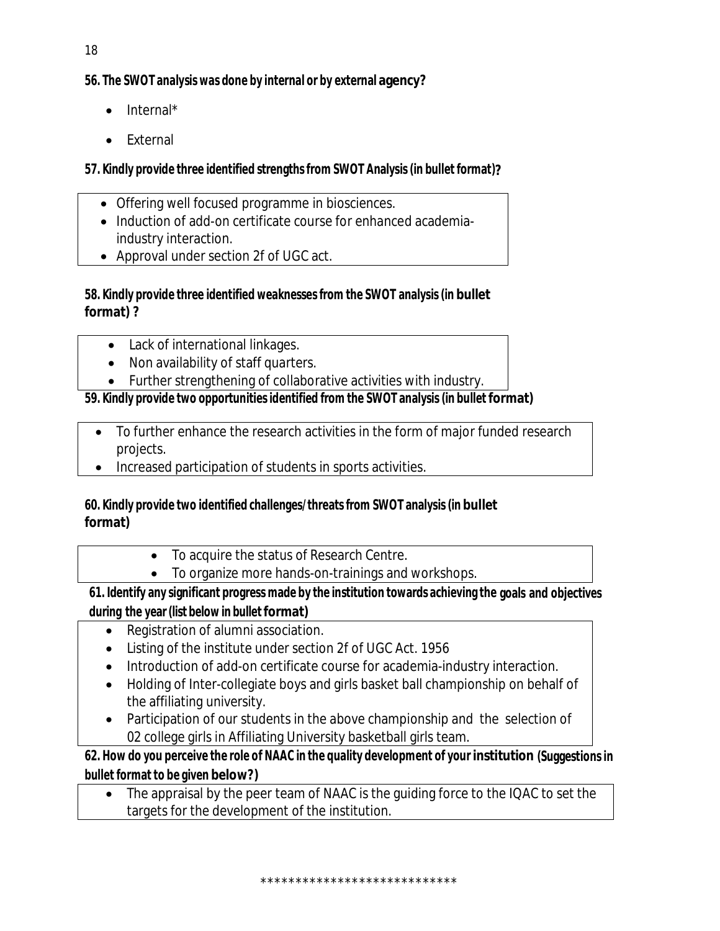# **56. The SWOT analysis was done by internal or by external agency?**

- $\bullet$  Internal\*
- External

# **57. Kindly provide three identified strengthsfrom SWOT Analysis(in bullet format)?**

- Offering well focused programme in biosciences.
- Induction of add-on certificate course for enhanced academiaindustry interaction.
- Approval under section 2f of UGC act.

## **58. Kindly provide three identified weaknessesfrom the SWOT analysis(in bullet format) ?**

- Lack of international linkages.
- Non availability of staff quarters.
- Further strengthening of collaborative activities with industry.

# **59. Kindly provide two opportunitiesidentified from the SWOT analysis (in bullet format)**

- To further enhance the research activities in the form of major funded research projects.
- Increased participation of students in sports activities.

## **60. Kindly provide two identified challenges/threatsfrom SWOT analysis(in bullet format)**

- To acquire the status of Research Centre.
- To organize more hands-on-trainings and workshops.

# **61. Identify any significant progress made by the institution towards achieving the goals and objectives during the year (list below in bullet format)**

- Registration of alumni association.
- Listing of the institute under section 2f of UGC Act. 1956
- Introduction of add-on certificate course for academia-industry interaction.
- Holding of Inter-collegiate boys and girls basket ball championship on behalf of the affiliating university.
- Participation of our students in the above championship and the selection of 02 college girls in Affiliating University basketball girls team.

**62. How do you perceive the role of NAAC in the quality development of your institution (Suggestionsin bullet format to be given below?)** 

 The appraisal by the peer team of NAAC is the guiding force to the IQAC to set the targets for the development of the institution.

\*\*\*\*\*\*\*\*\*\*\*\*\*\*\*\*\*\*\*\*\*\*\*\*\*\*\*\*